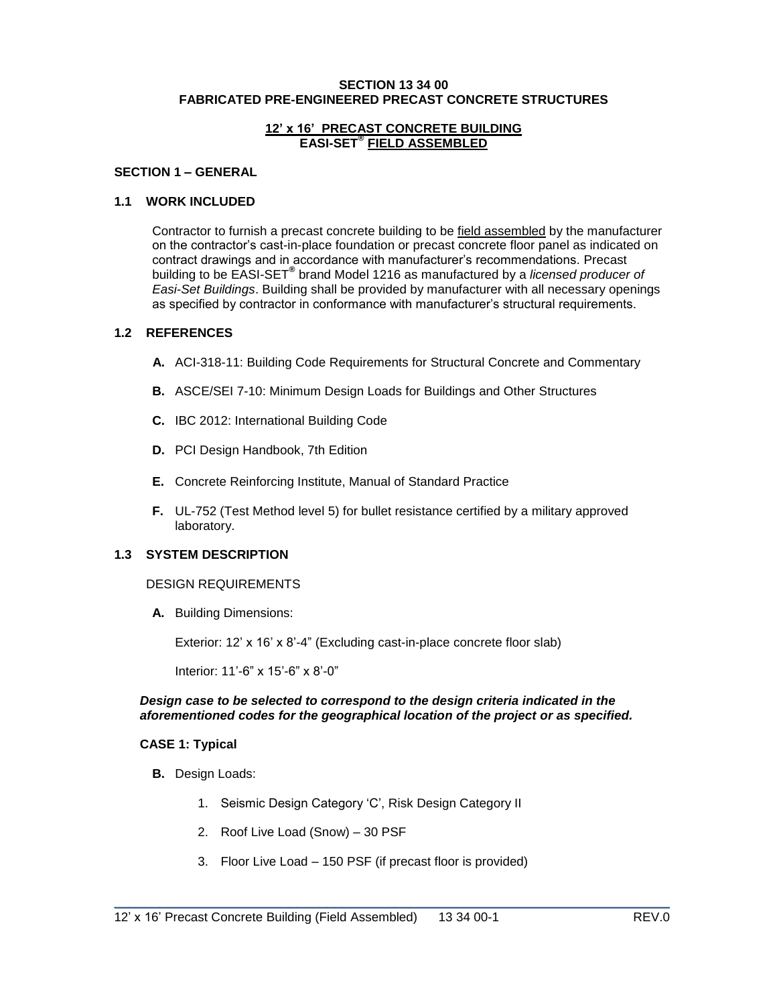#### **SECTION 13 34 00 FABRICATED PRE-ENGINEERED PRECAST CONCRETE STRUCTURES**

### **12' x 16' PRECAST CONCRETE BUILDING EASI-SET® FIELD ASSEMBLED**

#### **SECTION 1 – GENERAL**

### **1.1 WORK INCLUDED**

Contractor to furnish a precast concrete building to be **field assembled** by the manufacturer on the contractor's cast-in-place foundation or precast concrete floor panel as indicated on contract drawings and in accordance with manufacturer's recommendations. Precast building to be EASI-SET® brand Model 1216 as manufactured by a *licensed producer of Easi-Set Buildings*. Building shall be provided by manufacturer with all necessary openings as specified by contractor in conformance with manufacturer's structural requirements.

#### **1.2 REFERENCES**

- **A.** ACI-318-11: Building Code Requirements for Structural Concrete and Commentary
- **B.** ASCE/SEI 7-10: Minimum Design Loads for Buildings and Other Structures
- **C.** IBC 2012: International Building Code
- **D.** PCI Design Handbook, 7th Edition
- **E.** Concrete Reinforcing Institute, Manual of Standard Practice
- **F.** UL-752 (Test Method level 5) for bullet resistance certified by a military approved laboratory.

#### **1.3 SYSTEM DESCRIPTION**

#### DESIGN REQUIREMENTS

**A.** Building Dimensions:

Exterior: 12' x 16' x 8'-4" (Excluding cast-in-place concrete floor slab)

Interior: 11'-6" x 15'-6" x 8'-0"

#### *Design case to be selected to correspond to the design criteria indicated in the aforementioned codes for the geographical location of the project or as specified.*

#### **CASE 1: Typical**

- **B.** Design Loads:
	- 1. Seismic Design Category 'C', Risk Design Category II
	- 2. Roof Live Load (Snow) 30 PSF
	- 3. Floor Live Load 150 PSF (if precast floor is provided)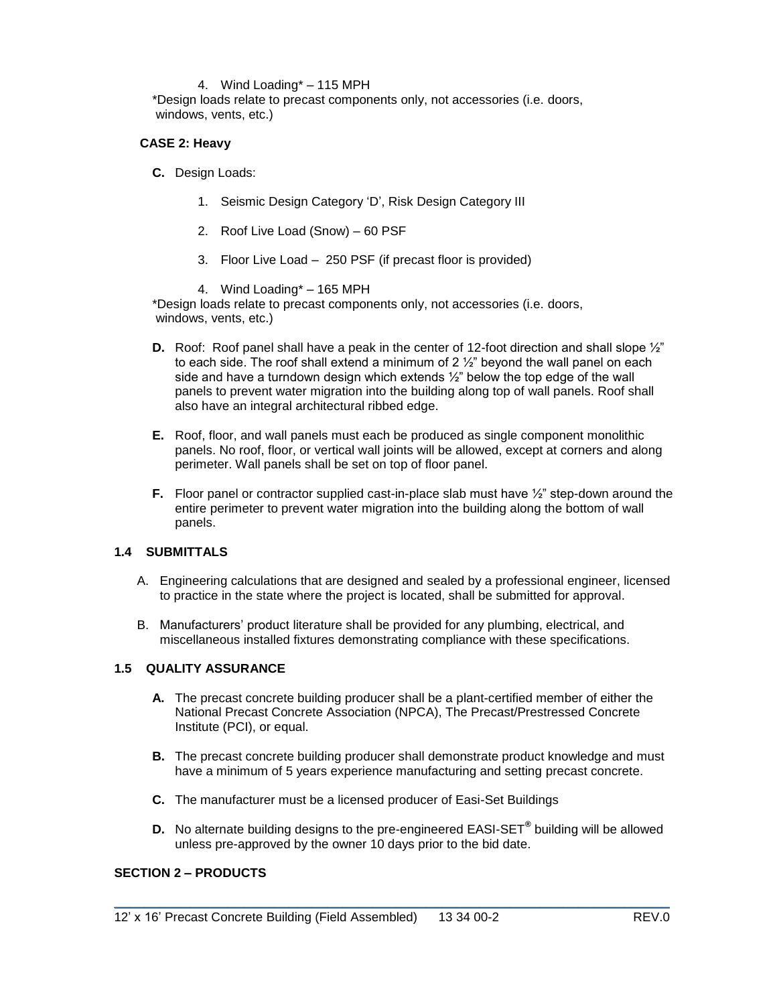### 4. Wind Loading\* – 115 MPH

\*Design loads relate to precast components only, not accessories (i.e. doors, windows, vents, etc.)

### **CASE 2: Heavy**

**C.** Design Loads:

- 1. Seismic Design Category 'D', Risk Design Category III
- 2. Roof Live Load (Snow) 60 PSF
- 3. Floor Live Load 250 PSF (if precast floor is provided)
- 4. Wind Loading\* 165 MPH

\*Design loads relate to precast components only, not accessories (i.e. doors, windows, vents, etc.)

- **D.** Roof: Roof panel shall have a peak in the center of 12-foot direction and shall slope  $\frac{1}{2}$ " to each side. The roof shall extend a minimum of  $2\frac{1}{2}$ " beyond the wall panel on each side and have a turndown design which extends  $\frac{1}{2}$ " below the top edge of the wall panels to prevent water migration into the building along top of wall panels. Roof shall also have an integral architectural ribbed edge.
- **E.** Roof, floor, and wall panels must each be produced as single component monolithic panels. No roof, floor, or vertical wall joints will be allowed, except at corners and along perimeter. Wall panels shall be set on top of floor panel.
- **F.** Floor panel or contractor supplied cast-in-place slab must have  $\frac{1}{2}$ " step-down around the entire perimeter to prevent water migration into the building along the bottom of wall panels.

### **1.4 SUBMITTALS**

- A. Engineering calculations that are designed and sealed by a professional engineer, licensed to practice in the state where the project is located, shall be submitted for approval.
- B. Manufacturers' product literature shall be provided for any plumbing, electrical, and miscellaneous installed fixtures demonstrating compliance with these specifications.

#### **1.5 QUALITY ASSURANCE**

- **A.** The precast concrete building producer shall be a plant-certified member of either the National Precast Concrete Association (NPCA), The Precast/Prestressed Concrete Institute (PCI), or equal.
- **B.** The precast concrete building producer shall demonstrate product knowledge and must have a minimum of 5 years experience manufacturing and setting precast concrete.
- **C.** The manufacturer must be a licensed producer of Easi-Set Buildings
- **D.** No alternate building designs to the pre-engineered EASI-SET**®** building will be allowed unless pre-approved by the owner 10 days prior to the bid date.

\_\_\_\_\_\_\_\_\_\_\_\_\_\_\_\_\_\_\_\_\_\_\_\_\_\_\_\_\_\_\_\_\_\_\_\_\_\_\_\_\_\_\_\_\_\_\_\_\_\_\_\_\_\_\_\_\_\_\_\_\_\_\_\_\_\_\_\_\_\_\_\_\_

## **SECTION 2 – PRODUCTS**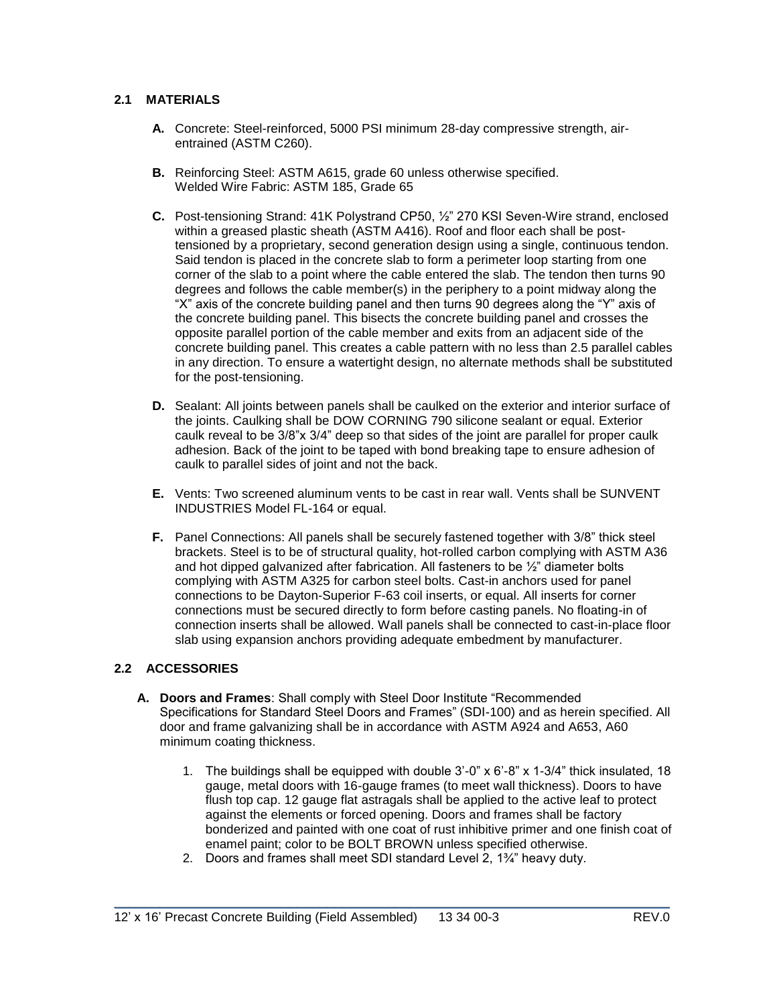## **2.1 MATERIALS**

- **A.** Concrete: Steel-reinforced, 5000 PSI minimum 28-day compressive strength, airentrained (ASTM C260).
- **B.** Reinforcing Steel: ASTM A615, grade 60 unless otherwise specified. Welded Wire Fabric: ASTM 185, Grade 65
- **C.** Post-tensioning Strand: 41K Polystrand CP50, ½" 270 KSI Seven-Wire strand, enclosed within a greased plastic sheath (ASTM A416). Roof and floor each shall be posttensioned by a proprietary, second generation design using a single, continuous tendon. Said tendon is placed in the concrete slab to form a perimeter loop starting from one corner of the slab to a point where the cable entered the slab. The tendon then turns 90 degrees and follows the cable member(s) in the periphery to a point midway along the "X" axis of the concrete building panel and then turns 90 degrees along the "Y" axis of the concrete building panel. This bisects the concrete building panel and crosses the opposite parallel portion of the cable member and exits from an adjacent side of the concrete building panel. This creates a cable pattern with no less than 2.5 parallel cables in any direction. To ensure a watertight design, no alternate methods shall be substituted for the post-tensioning.
- **D.** Sealant: All joints between panels shall be caulked on the exterior and interior surface of the joints. Caulking shall be DOW CORNING 790 silicone sealant or equal. Exterior caulk reveal to be 3/8"x 3/4" deep so that sides of the joint are parallel for proper caulk adhesion. Back of the joint to be taped with bond breaking tape to ensure adhesion of caulk to parallel sides of joint and not the back.
- **E.** Vents: Two screened aluminum vents to be cast in rear wall. Vents shall be SUNVENT INDUSTRIES Model FL-164 or equal.
- **F.** Panel Connections: All panels shall be securely fastened together with 3/8" thick steel brackets. Steel is to be of structural quality, hot-rolled carbon complying with ASTM A36 and hot dipped galvanized after fabrication. All fasteners to be ½" diameter bolts complying with ASTM A325 for carbon steel bolts. Cast-in anchors used for panel connections to be Dayton-Superior F-63 coil inserts, or equal. All inserts for corner connections must be secured directly to form before casting panels. No floating-in of connection inserts shall be allowed. Wall panels shall be connected to cast-in-place floor slab using expansion anchors providing adequate embedment by manufacturer.

# **2.2 ACCESSORIES**

- **A. Doors and Frames**: Shall comply with Steel Door Institute "Recommended Specifications for Standard Steel Doors and Frames" (SDI-100) and as herein specified. All door and frame galvanizing shall be in accordance with ASTM A924 and A653, A60 minimum coating thickness.
	- 1. The buildings shall be equipped with double 3'-0" x 6'-8" x 1-3/4" thick insulated, 18 gauge, metal doors with 16-gauge frames (to meet wall thickness). Doors to have flush top cap. 12 gauge flat astragals shall be applied to the active leaf to protect against the elements or forced opening. Doors and frames shall be factory bonderized and painted with one coat of rust inhibitive primer and one finish coat of enamel paint; color to be BOLT BROWN unless specified otherwise.
	- 2. Doors and frames shall meet SDI standard Level 2, 1¾" heavy duty.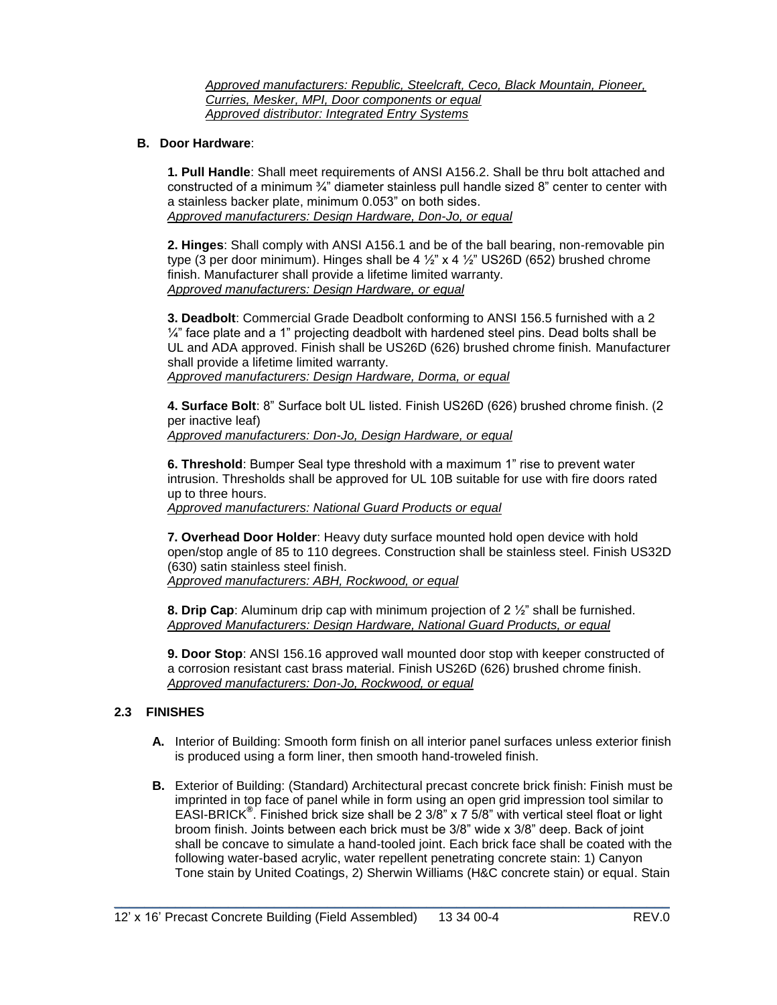*Approved manufacturers: Republic, Steelcraft, Ceco, Black Mountain, Pioneer, Curries, Mesker, MPI, Door components or equal Approved distributor: Integrated Entry Systems*

### **B. Door Hardware**:

**1. Pull Handle**: Shall meet requirements of ANSI A156.2. Shall be thru bolt attached and constructed of a minimum  $\frac{3}{4}$ " diameter stainless pull handle sized 8" center to center with a stainless backer plate, minimum 0.053" on both sides. *Approved manufacturers: Design Hardware, Don-Jo, or equal*

**2. Hinges**: Shall comply with ANSI A156.1 and be of the ball bearing, non-removable pin type (3 per door minimum). Hinges shall be 4  $\frac{1}{2}$  x 4  $\frac{1}{2}$  US26D (652) brushed chrome finish. Manufacturer shall provide a lifetime limited warranty. *Approved manufacturers: Design Hardware, or equal*

**3. Deadbolt**: Commercial Grade Deadbolt conforming to ANSI 156.5 furnished with a 2  $\frac{1}{4}$ " face plate and a 1" projecting deadbolt with hardened steel pins. Dead bolts shall be UL and ADA approved. Finish shall be US26D (626) brushed chrome finish. Manufacturer shall provide a lifetime limited warranty. *Approved manufacturers: Design Hardware, Dorma, or equal*

**4. Surface Bolt**: 8" Surface bolt UL listed. Finish US26D (626) brushed chrome finish. (2 per inactive leaf) *Approved manufacturers: Don-Jo, Design Hardware, or equal*

**6. Threshold**: Bumper Seal type threshold with a maximum 1" rise to prevent water intrusion. Thresholds shall be approved for UL 10B suitable for use with fire doors rated up to three hours.

*Approved manufacturers: National Guard Products or equal* 

**7. Overhead Door Holder**: Heavy duty surface mounted hold open device with hold open/stop angle of 85 to 110 degrees. Construction shall be stainless steel. Finish US32D (630) satin stainless steel finish.

*Approved manufacturers: ABH, Rockwood, or equal*

**8. Drip Cap**: Aluminum drip cap with minimum projection of 2 ½" shall be furnished. *Approved Manufacturers: Design Hardware, National Guard Products, or equal*

**9. Door Stop**: ANSI 156.16 approved wall mounted door stop with keeper constructed of a corrosion resistant cast brass material. Finish US26D (626) brushed chrome finish. *Approved manufacturers: Don-Jo, Rockwood, or equal*

## **2.3 FINISHES**

- **A.** Interior of Building: Smooth form finish on all interior panel surfaces unless exterior finish is produced using a form liner, then smooth hand-troweled finish.
- **B.** Exterior of Building: (Standard) Architectural precast concrete brick finish: Finish must be imprinted in top face of panel while in form using an open grid impression tool similar to EASI-BRICK**®** . Finished brick size shall be 2 3/8" x 7 5/8" with vertical steel float or light broom finish. Joints between each brick must be 3/8" wide x 3/8" deep. Back of joint shall be concave to simulate a hand-tooled joint. Each brick face shall be coated with the following water-based acrylic, water repellent penetrating concrete stain: 1) Canyon Tone stain by United Coatings, 2) Sherwin Williams (H&C concrete stain) or equal. Stain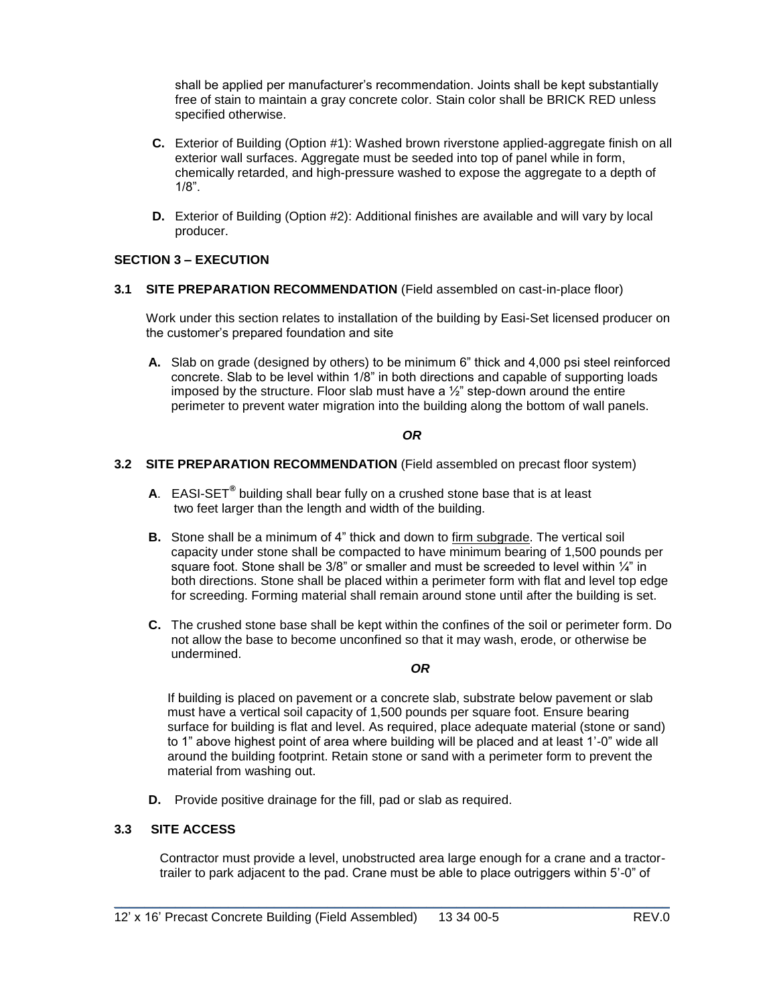shall be applied per manufacturer's recommendation. Joints shall be kept substantially free of stain to maintain a gray concrete color. Stain color shall be BRICK RED unless specified otherwise.

- **C.** Exterior of Building (Option #1): Washed brown riverstone applied-aggregate finish on all exterior wall surfaces. Aggregate must be seeded into top of panel while in form, chemically retarded, and high-pressure washed to expose the aggregate to a depth of 1/8".
- **D.** Exterior of Building (Option #2): Additional finishes are available and will vary by local producer.

## **SECTION 3 – EXECUTION**

**3.1 SITE PREPARATION RECOMMENDATION** (Field assembled on cast-in-place floor)

Work under this section relates to installation of the building by Easi-Set licensed producer on the customer's prepared foundation and site

**A.** Slab on grade (designed by others) to be minimum 6" thick and 4,000 psi steel reinforced concrete. Slab to be level within 1/8" in both directions and capable of supporting loads imposed by the structure. Floor slab must have a  $\frac{1}{2}$ " step-down around the entire perimeter to prevent water migration into the building along the bottom of wall panels.

## *OR*

### **3.2 SITE PREPARATION RECOMMENDATION** (Field assembled on precast floor system)

- **A**. EASI-SET**®** building shall bear fully on a crushed stone base that is at least two feet larger than the length and width of the building.
- **B.** Stone shall be a minimum of 4" thick and down to firm subgrade. The vertical soil capacity under stone shall be compacted to have minimum bearing of 1,500 pounds per square foot. Stone shall be  $3/8$ " or smaller and must be screeded to level within  $\frac{1}{4}$ " in both directions. Stone shall be placed within a perimeter form with flat and level top edge for screeding. Forming material shall remain around stone until after the building is set.
- **C.** The crushed stone base shall be kept within the confines of the soil or perimeter form. Do not allow the base to become unconfined so that it may wash, erode, or otherwise be undermined.

#### *OR*

If building is placed on pavement or a concrete slab, substrate below pavement or slab must have a vertical soil capacity of 1,500 pounds per square foot. Ensure bearing surface for building is flat and level. As required, place adequate material (stone or sand) to 1" above highest point of area where building will be placed and at least 1'-0" wide all around the building footprint. Retain stone or sand with a perimeter form to prevent the material from washing out.

**D.** Provide positive drainage for the fill, pad or slab as required.

## **3.3 SITE ACCESS**

Contractor must provide a level, unobstructed area large enough for a crane and a tractortrailer to park adjacent to the pad. Crane must be able to place outriggers within 5'-0" of